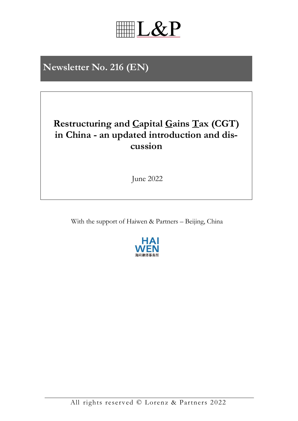

# **Restructuring and Capital Gains Tax (CGT) in China - an updated introduction and discussion**

June 2022

With the support of Haiwen & Partners – Beijing, China

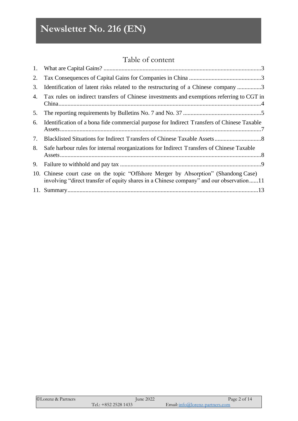# Table of content

| 1. |                                                                                                                                                                                |
|----|--------------------------------------------------------------------------------------------------------------------------------------------------------------------------------|
| 2. |                                                                                                                                                                                |
| 3. | Identification of latent risks related to the restructuring of a Chinese company 3                                                                                             |
| 4. | Tax rules on indirect transfers of Chinese investments and exemptions referring to CGT in                                                                                      |
| 5. |                                                                                                                                                                                |
| 6. | Identification of a bona fide commercial purpose for Indirect Transfers of Chinese Taxable                                                                                     |
| 7. |                                                                                                                                                                                |
| 8. | Safe harbour rules for internal reorganizations for Indirect Transfers of Chinese Taxable                                                                                      |
| 9. |                                                                                                                                                                                |
|    | 10. Chinese court case on the topic "Offshore Merger by Absorption" (Shandong Case)<br>involving "direct transfer of equity shares in a Chinese company" and our observation11 |
|    |                                                                                                                                                                                |

| ©Lorenz & Partners | June 2022            | Page 2 of 14                    |
|--------------------|----------------------|---------------------------------|
|                    | Tel.: $+85225281433$ | Email: info@lorenz-partners.com |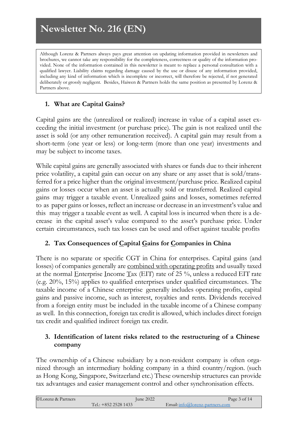Although Lorenz & Partners always pays great attention on updating information provided in newsletters and brochures, we cannot take any responsibility for the completeness, correctness or quality of the information provided. None of the information contained in this newsletter is meant to replace a personal consultation with a qualified lawyer. Liability claims regarding damage caused by the use or disuse of any information provided, including any kind of information which is incomplete or incorrect, will therefore be rejected, if not generated deliberately or grossly negligent. Besides, Haiwen & Partners holds the same position as presented by Lorenz & Partners above.

# <span id="page-2-0"></span>**1. What are Capital Gains?**

Capital gains are the (unrealized or realized) increase in value of a capital asset exceeding the initial investment (or purchase price). The gain is not realized until the asset is sold (or any other remuneration received). A capital gain may result from a short-term (one year or less) or long-term (more than one year) investments and may be subject to income taxes.

While capital gains are generally associated with shares or [funds](https://www.investopedia.com/terms/f/fund.asp) due to their inherent price volatility, a capital gain can occur on any share or any asset that is sold/transferred for a price higher than the original investment[/purchase](https://www.investopedia.com/terms/p/purchaseprice.asp) price. Realized capital gains or losses occur when an asset is actually sold or transferred. Realized capital gains may trigger a taxable event. Unrealized gains and losses, sometimes referred to as paper gains or losses, reflect an increase or decrease in an investment's value and this may trigger a taxable event as well. A [capital](https://www.investopedia.com/terms/c/capitalloss.asp) loss is incurred when there is a decrease in the capital asset's value compared to the asset's purchase price. Under certain circumstances, such tax losses can be used and offset against taxable profits

### <span id="page-2-1"></span>**2. Tax Consequences of Capital Gains for Companies in China**

There is no separate or specific CGT in China for enterprises. Capital gains (and losses) of companies generally are combined with operating profits and usually taxed at the normal Enterprise Income Tax (EIT) rate of 25  $\%$ , unless a reduced EIT rate (e.g. 20%, 15%) applies to qualified enterprises under qualified circumstances. The taxable income of a Chinese enterprise generally includes operating profits, capital gains and passive income, such as interest, royalties and rents. Dividends received from a foreign entity must be included in the taxable income of a Chinese company as well. In this connection, foreign tax credit is allowed, which includes direct foreign tax credit and qualified indirect foreign tax credit.

# <span id="page-2-2"></span>**3. Identification of latent risks related to the restructuring of a Chinese company**

The ownership of a Chinese subsidiary by a non-resident company is often organized through an intermediary holding company in a third country/region. (such as Hong Kong, Singapore, Switzerland etc.) These ownership structures can provide tax advantages and easier management control and other synchronisation effects.

| ©Lorenz & Partners | June 2022            | Page 3 of 14                      |
|--------------------|----------------------|-----------------------------------|
|                    | Tel.: $+85225281433$ | Email: $info@lorenz-partners.com$ |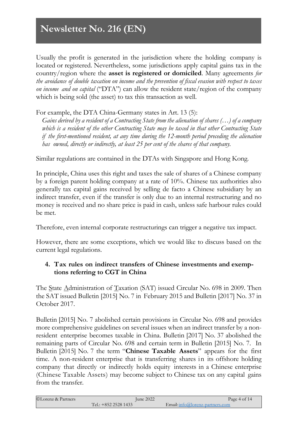Usually the profit is generated in the jurisdiction where the holding company is located or registered. Nevertheless, some jurisdictions apply capital gains tax in the country/region where the **asset is registered or domiciled**. Many agreements *for the avoidance of double taxation on income and the prevention of fiscal evasion with respect to taxes on income and on capital* ("DTA") can allow the resident state/region of the company which is being sold (the asset) to tax this transaction as well.

For example, the DTA China-Germany states in Art. 13 (5):

*Gains derived by a resident of a Contracting State from the alienation of shares (…) of a company which is a resident of the other Contracting State may be taxed in that other Contracting State if the first-mentioned resident, at any time during the 12-month period preceding the alienation has owned, directly or indirectly, at least 25 per cent of the shares of that company.*

Similar regulations are contained in the DTAs with Singapore and Hong Kong.

In principle, China uses this right and taxes the sale of shares of a Chinese company by a foreign parent holding company at a rate of 10%. Chinese tax authorities also generally tax capital gains received by selling de facto a Chinese subsidiary by an indirect transfer, even if the transfer is only due to an internal restructuring and no money is received and no share price is paid in cash, unless safe harbour rules could be met.

Therefore, even internal corporate restructurings can trigger a negative tax impact.

However, there are some exceptions, which we would like to discuss based on the current legal regulations.

### <span id="page-3-0"></span>**4. Tax rules on indirect transfers of Chinese investments and exemptions referring to CGT in China**

The <u>State Administration of Taxation</u> (SAT) issued Circular No. 698 in 2009. Then the SAT issued Bulletin [2015] No. 7 in February 2015 and Bulletin [2017] No. 37 in October 2017.

Bulletin [2015] No. 7 abolished certain provisions in Circular No. 698 and provides more comprehensive guidelines on several issues when an indirect transfer by a nonresident enterprise becomes taxable in China. Bulletin [2017] No. 37 abolished the remaining parts of Circular No. 698 and certain term in Bulletin [2015] No. 7. In Bulletin [2015] No. 7 the term "**Chinese Taxable Assets**" appears for the first time. A non-resident enterprise that is transferring shares in its offshore holding company that directly or indirectly holds equity interests in a Chinese enterprise (Chinese Taxable Assets) may become subject to Chinese tax on any capital gains from the transfer.

| ©Lorenz & Partners | <b>June 2022</b>     | Page 4 of 14                     |
|--------------------|----------------------|----------------------------------|
|                    | Tel.: $+85225281433$ | $Email:info@lorenz-partners.com$ |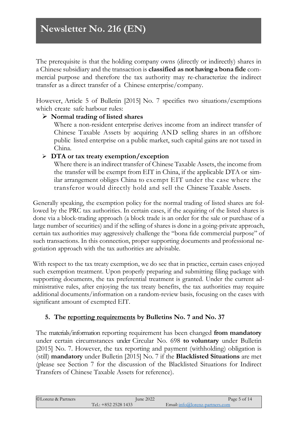The prerequisite is that the holding company owns (directly or indirectly) shares in a Chinese subsidiary and the transaction is **classified as not havinga bona fide** commercial purpose and therefore the tax authority may re-characterize the indirect transfer as a direct transfer of a Chinese enterprise/company.

However, Article 5 of Bulletin [2015] No. 7 specifies two situations/exemptions which create safe harbour rules:

### ➢ **Normal trading of listed shares**

Where a non-resident enterprise derives income from an indirect transfer of Chinese Taxable Assets by acquiring AND selling shares in an offshore public listed enterprise on a public market, such capital gains are not taxed in China.

# ➢ **DTA or tax treaty exemption/exception**

Where there is an indirect transfer of Chinese Taxable Assets, the income from the transfer will be exempt from EIT in China, if the applicable DTA or similar arrangement obliges China to exempt EIT under the case where the transferor would directly hold and sell the Chinese Taxable Assets.

Generally speaking, the exemption policy for the normal trading of listed shares are followed by the PRC tax authorities. In certain cases, if the acquiring of the listed shares is done via a block-trading approach (a block trade is an order for the sale or purchase of a large number of securities) and if the selling of shares is done in a going-private approach, certain tax authorities may aggressively challenge the "bona fide commercial purpose" of such transactions. In this connection, proper supporting documents and professional negotiation approach with the tax authorities are advisable.

With respect to the tax treaty exemption, we do see that in practice, certain cases enjoyed such exemption treatment. Upon properly preparing and submitting filing package with supporting documents, the tax preferential treatment is granted. Under the current administrative rules, after enjoying the tax treaty benefits, the tax authorities may require additional documents/information on a random-review basis, focusing on the cases with significant amount of exempted EIT.

# <span id="page-4-0"></span>**5. The reporting requirements by Bulletins No. 7 and No. 37**

The materials/information reporting requirement has been changed **from mandatory** under certain circumstances under Circular No. 698 **to voluntary** under Bulletin [2015] No. 7. However, the tax reporting and payment (withholding) obligation is (still) **mandatory** under Bulletin [2015] No. 7 if the **Blacklisted Situations** are met (please see Section 7 for the discussion of the Blacklisted Situations for Indirect Transfers of Chinese Taxable Assets for reference).

| ©Lorenz & Partners | June 2022              |                                 | Page 5 of 14 |
|--------------------|------------------------|---------------------------------|--------------|
|                    | Tel.: $+852$ 2528 1433 | Email: info@lorenz-partners.com |              |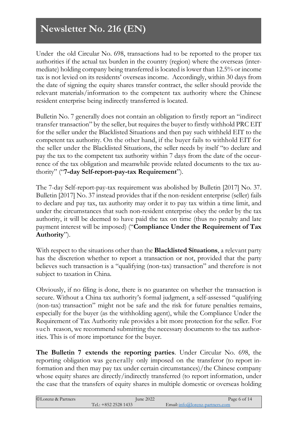Under the old Circular No. 698, transactions had to be reported to the proper tax authorities if the actual tax burden in the country (region) where the overseas (intermediate) holding company being transferred is located is lower than 12.5% or income tax is not levied on its residents' overseas income. Accordingly, within 30 days from the date of signing the equity shares transfer contract, the seller should provide the relevant materials/information to the competent tax authority where the Chinese resident enterprise being indirectly transferred is located.

Bulletin No. 7 generally does not contain an obligation to firstly report an "indirect transfer transaction" by the seller, but requires the buyer to firstly withhold PRC EIT for the seller under the Blacklisted Situations and then pay such withheld EIT to the competent tax authority. On the other hand, if the buyer fails to withhold EIT for the seller under the Blacklisted Situations, the seller needs by itself "to declare and pay the tax to the competent tax authority within 7 days from the date of the occurrence of the tax obligation and meanwhile provide related documents to the tax authority" ("**7-day Self-report-pay-tax Requirement**").

The 7-day Self-report-pay-tax requirement was abolished by Bulletin [2017] No. 37. Bulletin [2017] No. 37 instead provides that if the non-resident enterprise (seller) fails to declare and pay tax, tax authority may order it to pay tax within a time limit, and under the circumstances that such non-resident enterprise obey the order by the tax authority, it will be deemed to have paid the tax on time (thus no penalty and late payment interest will be imposed) ("**Compliance Under the Requirement of Tax Authority**").

With respect to the situations other than the **Blacklisted Situations**, a relevant party has the discretion whether to report a transaction or not, provided that the party believes such transaction is a "qualifying (non-tax) transaction" and therefore is not subject to taxation in China.

Obviously, if no filing is done, there is no guarantee on whether the transaction is secure. Without a China tax authority's formal judgment, a self-assessed "qualifying (non-tax) transaction" might not be safe and the risk for future penalties remains, especially for the buyer (as the withholding agent), while the Compliance Under the Requirement of Tax Authority rule provides a bit more protection for the seller. For such reason, we recommend submitting the necessary documents to the tax authorities. This is of more importance for the buyer.

**The Bulletin 7 extends the reporting parties**. Under Circular No. 698, the reporting obligation was generally only imposed on the transferor (to report information and then may pay tax under certain circumstances)/the Chinese company whose equity shares are directly/indirectly transferred (to report information, under the case that the transfers of equity shares in multiple domestic or overseas holding

| ©Lorenz & Partners | <b>June 2022</b>     | Page 6 of 14                      |
|--------------------|----------------------|-----------------------------------|
|                    | Tel.: $+85225281433$ | Email: $info@lorenz-partners.com$ |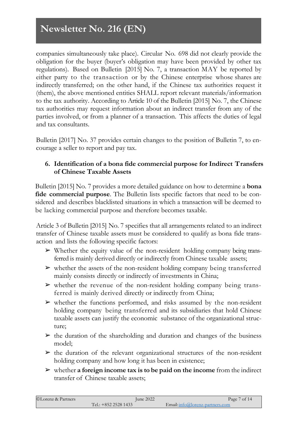companies simultaneously take place). Circular No. 698 did not clearly provide the obligation for the buyer (buyer's obligation may have been provided by other tax regulations). Based on Bulletin [2015] No. 7, a transaction MAY be reported by either party to the transaction or by the Chinese enterprise whose shares are indirectly transferred; on the other hand, if the Chinese tax authorities request it (them), the above mentioned entities SHALL report relevant materials/information to the tax authority. According to Article 10 of the Bulletin [2015] No. 7, the Chinese tax authorities may request information about an indirect transfer from any of the parties involved, or from a planner of a transaction. This affects the duties of legal and tax consultants.

Bulletin [2017] No. 37 provides certain changes to the position of Bulletin 7, to encourage a seller to report and pay tax.

### <span id="page-6-0"></span>**6. Identification of a bona fide commercial purpose for Indirect Transfers of Chinese Taxable Assets**

Bulletin [2015] No. 7 provides a more detailed guidance on how to determine a **bona fide commercial purpose**. The Bulletin lists specific factors that need to be considered and describes blacklisted situations in which a transaction will be deemed to be lacking commercial purpose and therefore becomes taxable.

Article 3 of Bulletin [2015] No. 7 specifies that all arrangements related to an indirect transfer of Chinese taxable assets must be considered to qualify as bona fide transaction and lists the following specific factors:

- $\triangleright$  Whether the equity value of the non-resident holding company being transferred is mainly derived directly or indirectly from Chinese taxable assets;
- ➢ whether the assets of the non-resident holding company being transferred mainly consists directly or indirectly of investments in China;
- $\triangleright$  whether the revenue of the non-resident holding company being transferred is mainly derived directly or indirectly from China;
- ➢ whether the functions performed, and risks assumed by the non-resident holding company being transferred and its subsidiaries that hold Chinese taxable assets can justify the economic substance of the organizational structure;
- $\triangleright$  the duration of the shareholding and duration and changes of the business model;
- $\triangleright$  the duration of the relevant organizational structures of the non-resident holding company and how long it has been in existence;
- ➢ whether **a foreign income tax is to be paid on the income** from the indirect transfer of Chinese taxable assets;

| ©Lorenz & Partners | June 2022            | Page 7 of 14                    |
|--------------------|----------------------|---------------------------------|
|                    | Tel.: $+85225281433$ | Email: info@lorenz-partners.com |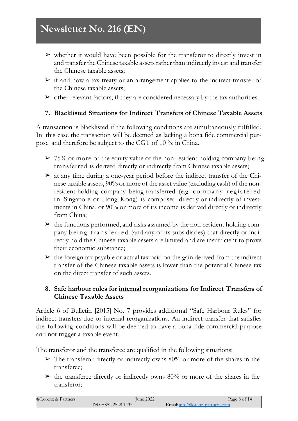- $\triangleright$  whether it would have been possible for the transferor to directly invest in and transfer the Chinese taxable assets rather than indirectly invest and transfer the Chinese taxable assets;
- $\triangleright$  if and how a tax treaty or an arrangement applies to the indirect transfer of the Chinese taxable assets;
- $\triangleright$  other relevant factors, if they are considered necessary by the tax authorities.

# <span id="page-7-0"></span>**7. Blacklisted Situations for Indirect Transfers of Chinese Taxable Assets**

A transaction is blacklisted if the following conditions are simultaneously fulfilled. In this case the transaction will be deemed as lacking a bona fide commercial purpose and therefore be subject to the CGT of 10 % in China.

- $\geq 75\%$  or more of the equity value of the non-resident holding company being transferred is derived directly or indirectly from Chinese taxable assets;
- $\triangleright$  at any time during a one-year period before the indirect transfer of the Chinese taxable assets, 90% or more of the asset value (excluding cash) of the nonresident holding company being transferred (e.g. company registered in Singapore or Hong Kong) is comprised directly or indirectly of investments in China, or 90% or more of its income is derived directly or indirectly from China;
- $\triangleright$  the functions performed, and risks assumed by the non-resident holding company being transferred (and any of its subsidiaries) that directly or indirectly hold the Chinese taxable assets are limited and are insufficient to prove their economic substance;
- $\triangleright$  the foreign tax payable or actual tax paid on the gain derived from the indirect transfer of the Chinese taxable assets is lower than the potential Chinese tax on the direct transfer of such assets.

### <span id="page-7-1"></span>**8. Safe harbour rules for internal reorganizations for Indirect Transfers of Chinese Taxable Assets**

Article 6 of Bulletin [2015] No. 7 provides additional "Safe Harbour Rules" for indirect transfers due to internal reorganizations. An indirect transfer that satisfies the following conditions will be deemed to have a bona fide commercial purpose and not trigger a taxable event.

The transferor and the transferee are qualified in the following situations:

- $\triangleright$  The transferor directly or indirectly owns 80% or more of the shares in the transferee;
- $\triangleright$  the transferee directly or indirectly owns 80% or more of the shares in the transferor;

| ©Lorenz & Partners | June 2022              | Page 8 of 14                    |
|--------------------|------------------------|---------------------------------|
|                    | Tel.: $+852$ 2528 1433 | Email: info@lorenz-partners.com |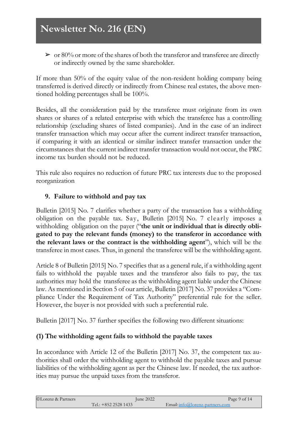$\triangleright$  or 80% or more of the shares of both the transferor and transferee are directly or indirectly owned by the same shareholder.

If more than 50% of the equity value of the non-resident holding company being transferred is derived directly or indirectly from Chinese real estates, the above mentioned holding percentages shall be 100%.

Besides, all the consideration paid by the transferee must originate from its own shares or shares of a related enterprise with which the transferee has a controlling relationship (excluding shares of listed companies). And in the case of an indirect transfer transaction which may occur after the current indirect transfer transaction, if comparing it with an identical or similar indirect transfer transaction under the circumstances that the current indirect transfer transaction would not occur, the PRC income tax burden should not be reduced.

This rule also requires no reduction of future PRC tax interests due to the proposed reorganization

# <span id="page-8-0"></span>**9. Failure to withhold and pay tax**

Bulletin [2015] No. 7 clarifies whether a party of the transaction has a withholding obligation on the payable tax. Say, Bulletin [2015] No. 7 clearly imposes a withholding obligation on the payer ("**the unit or individual that is directly obligated to pay the relevant funds (money) to the transferor in accordance with the relevant laws or the contract is the withholding agent**"), which will be the transferee in most cases. Thus, in general the transferee will be the withholding agent.

Article 8 of Bulletin [2015] No. 7 specifies that as a general rule, if a withholding agent fails to withhold the payable taxes and the transferor also fails to pay, the tax authorities may hold the transferee as the withholding agent liable under the Chinese law. As mentioned in Section 5 of our article, Bulletin [2017] No. 37 provides a "Compliance Under the Requirement of Tax Authority" preferential rule for the seller. However, the buyer is not provided with such a preferential rule.

Bulletin [2017] No. 37 further specifies the following two different situations:

### **(1) The withholding agent fails to withhold the payable taxes**

In accordance with Article 12 of the Bulletin [2017] No. 37, the competent tax authorities shall order the withholding agent to withhold the payable taxes and pursue liabilities of the withholding agent as per the Chinese law. If needed, the tax authorities may pursue the unpaid taxes from the transferor.

| ©Lorenz & Partners | $\mu$ ne 2022          | Page 9 of 14                    |
|--------------------|------------------------|---------------------------------|
|                    | Tel.: $+852$ 2528 1433 | Email: info@lorenz-partners.com |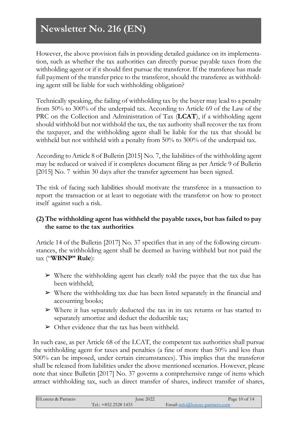However, the above provision fails in providing detailed guidance on its implementation, such as whether the tax authorities can directly pursue payable taxes from the withholding agent or if it should first pursue the transferor. If the transferee has made full payment of the transfer price to the transferor, should the transferee as withholding agent still be liable for such withholding obligation?

Technically speaking, the failing of withholding tax by the buyer may lead to a penalty from 50% to 300% of the underpaid tax. According to Article 69 of the Law of the PRC on the Collection and Administration of Tax (**LCAT**), if a withholding agent should withhold but not withhold the tax, the tax authority shall recover the tax from the taxpayer, and the withholding agent shall be liable for the tax that should be withheld but not withheld with a penalty from 50% to 300% of the underpaid tax.

According to Article 8 of Bulletin [2015] No. 7, the liabilities of the withholding agent may be reduced or waived if it completes document filing as per Article 9 of Bulletin [2015] No. 7 within 30 days after the transfer agreement has been signed.

The risk of facing such liabilities should motivate the transferee in a transaction to report the transaction or at least to negotiate with the transferor on how to protect itself against such a risk.

# **(2)The withholding agent has withheld the payable taxes, but has failed to pay the same to the tax authorities**

Article 14 of the Bulletin [2017] No. 37 specifies that in any of the following circumstances, the withholding agent shall be deemed as having withheld but not paid the tax ("**WBNP" Rule**):

- $\triangleright$  Where the withholding agent has clearly told the payee that the tax due has been withheld;
- $\triangleright$  Where the withholding tax due has been listed separately in the financial and accounting books;
- $\triangleright$  Where it has separately deducted the tax in its tax returns or has started to separately amortize and deduct the deductible tax;
- $\triangleright$  Other evidence that the tax has been withheld.

In such case, as per Article 68 of the LCAT, the competent tax authorities shall pursue the withholding agent for taxes and penalties (a fine of more than 50% and less than 500% can be imposed, under certain circumstances). This implies that the transferor shall be released from liabilities under the above mentioned scenarios. However, please note that since Bulletin [2017] No. 37 governs a comprehensive range of items which attract withholding tax, such as direct transfer of shares, indirect transfer of shares,

| ©Lorenz & Partners | June 2022            | Page $10$ of $14$                  |
|--------------------|----------------------|------------------------------------|
|                    | Tel.: $+85225281433$ | $E$ mail: info@lorenz-partners.com |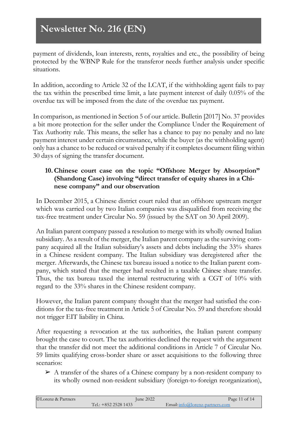payment of dividends, loan interests, rents, royalties and etc., the possibility of being protected by the WBNP Rule for the transferor needs further analysis under specific situations.

In addition, according to Article 32 of the LCAT, if the withholding agent fails to pay the tax within the prescribed time limit, a late payment interest of daily 0.05% of the overdue tax will be imposed from the date of the overdue tax payment.

In comparison, as mentioned in Section 5 of our article. Bulletin [2017] No. 37 provides a bit more protection for the seller under the Compliance Under the Requirement of Tax Authority rule. This means, the seller has a chance to pay no penalty and no late payment interest under certain circumstance, while the buyer (as the withholding agent) only has a chance to be reduced or waived penalty if it completes document filing within 30 days of signing the transfer document.

# <span id="page-10-0"></span>**10.Chinese court case on the topic "Offshore Merger by Absorption" (Shandong Case) involving "direct transfer of equity shares in a Chinese company" and our observation**

In December 2015, a Chinese district court ruled that an offshore upstream merger which was carried out by two Italian companies was disqualified from receiving the tax-free treatment under Circular No. 59 (issued by the SAT on 30 April 2009).

An Italian parent company passed a resolution to merge with its wholly owned Italian subsidiary. As a result of the merger, the Italian parent company as the surviving company acquired all the Italian subsidiary's assets and debts including the 33% shares in a Chinese resident company. The Italian subsidiary was deregistered after the merger. Afterwards, the Chinese tax bureau issued a notice to the Italian parent company, which stated that the merger had resulted in a taxable Chinese share transfer. Thus, the tax bureau taxed the internal restructuring with a CGT of 10% with regard to the 33% shares in the Chinese resident company.

However, the Italian parent company thought that the merger had satisfied the conditions for the tax-free treatment in Article 5 of Circular No. 59 and therefore should not trigger EIT liability in China.

After requesting a revocation at the tax authorities, the Italian parent company brought the case to court. The tax authorities declined the request with the argument that the transfer did not meet the additional conditions in Article 7 of Circular No. 59 limits qualifying cross-border share or asset acquisitions to the following three scenarios:

➢ A transfer of the shares of a Chinese company by a non-resident company to its wholly owned non-resident subsidiary (foreign-to-foreign reorganization),

| ©Lorenz & Partners | June 2022              | Page 11 of 14                   |
|--------------------|------------------------|---------------------------------|
|                    | Tel.: $+852$ 2528 1433 | Email: info@lorenz-partners.com |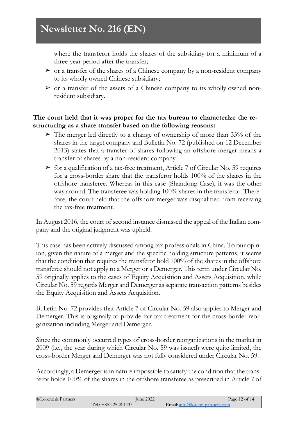where the transferor holds the shares of the subsidiary for a minimum of a three-year period after the transfer;

- $\triangleright$  or a transfer of the shares of a Chinese company by a non-resident company to its wholly owned Chinese subsidiary;
- $\triangleright$  or a transfer of the assets of a Chinese company to its wholly owned nonresident subsidiary.

### **The court held that it was proper for the tax bureau to characterize the restructuring as a share transfer based on the following reasons:**

- $\triangleright$  The merger led directly to a change of ownership of more than 33% of the shares in the target company and Bulletin No. 72 (published on 12 December 2013) states that a transfer of shares following an offshore merger means a transfer of shares by a non-resident company.
- $\triangleright$  for a qualification of a tax-free treatment, Article 7 of Circular No. 59 requires for a cross-border share that the transferor holds 100% of the shares in the offshore transferee. Whereas in this case (Shandong Case), it was the other way around. The transferee was holding 100% shares in the transferor. Therefore, the court held that the offshore merger was disqualified from receiving the tax-free treatment.

In August 2016, the court of second instance dismissed the appeal of the Italian company and the original judgment was upheld.

This case has been actively discussed among tax professionals in China. To our opinion, given the nature of a merger and the specific holding structure patterns, it seems that the condition that requires the transferor hold 100% of the shares in the offshore transferee should not apply to a Merger or a Demerger. This term under Circular No. 59 originally applies to the cases of Equity Acquisition and Assets Acquisition, while Circular No. 59 regards Merger and Demerger as separate transaction patterns besides the Equity Acquisition and Assets Acquisition.

Bulletin No. 72 provides that Article 7 of Circular No. 59 also applies to Merger and Demerger. This is originally to provide fair tax treatment for the cross-border reorganization including Merger and Demerger.

Since the commonly occurred types of cross-border reorganizations in the market in 2009 (i.e., the year during which Circular No. 59 was issued) were quite limited, the cross-border Merger and Demerger was not fully considered under Circular No. 59.

Accordingly, a Demerger is in nature impossible to satisfy the condition that the transferor holds 100% of the shares in the offshore transferee as prescribed in Article 7 of

| ©Lorenz & Partners | June 2022            | Page 12 of 14                     |
|--------------------|----------------------|-----------------------------------|
|                    | Tel.: $+85225281433$ | Email: $info@lorenz-partners.com$ |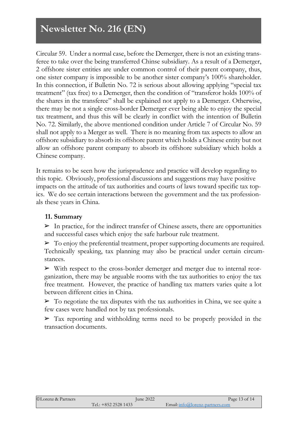Circular 59. Under a normal case, before the Demerger, there is not an existing transferee to take over the being transferred Chinse subsidiary. As a result of a Demerger, 2 offshore sister entities are under common control of their parent company, thus, one sister company is impossible to be another sister company's 100% shareholder. In this connection, if Bulletin No. 72 is serious about allowing applying "special tax treatment" (tax free) to a Demerger, then the condition of "transferor holds 100% of the shares in the transferee" shall be explained not apply to a Demerger. Otherwise, there may be not a single cross-border Demerger ever being able to enjoy the special tax treatment, and thus this will be clearly in conflict with the intention of Bulletin No. 72. Similarly, the above mentioned condition under Article 7 of Circular No. 59 shall not apply to a Merger as well. There is no meaning from tax aspects to allow an offshore subsidiary to absorb its offshore parent which holds a Chinese entity but not allow an offshore parent company to absorb its offshore subsidiary which holds a Chinese company.

It remains to be seen how the jurisprudence and practice will develop regarding to this topic. Obviously, professional discussions and suggestions may have positive impacts on the attitude of tax authorities and courts of laws toward specific tax topics. We do see certain interactions between the government and the tax professionals these years in China.

#### <span id="page-12-0"></span>**11. Summary**

 $\triangleright$  In practice, for the indirect transfer of Chinese assets, there are opportunities and successful cases which enjoy the safe harbour rule treatment.

 $\triangleright$  To enjoy the preferential treatment, proper supporting documents are required. Technically speaking, tax planning may also be practical under certain circumstances.

➢ With respect to the cross-border demerger and merger due to internal reorganization, there may be arguable rooms with the tax authorities to enjoy the tax free treatment. However, the practice of handling tax matters varies quite a lot between different cities in China.

 $\triangleright$  To negotiate the tax disputes with the tax authorities in China, we see quite a few cases were handled not by tax professionals.

➢ Tax reporting and withholding terms need to be properly provided in the transaction documents.

| ©Lorenz & Partners | June 2022              | Page 13 of 14                   |
|--------------------|------------------------|---------------------------------|
|                    | Tel.: $+852$ 2528 1433 | Email: info@lorenz-partners.com |